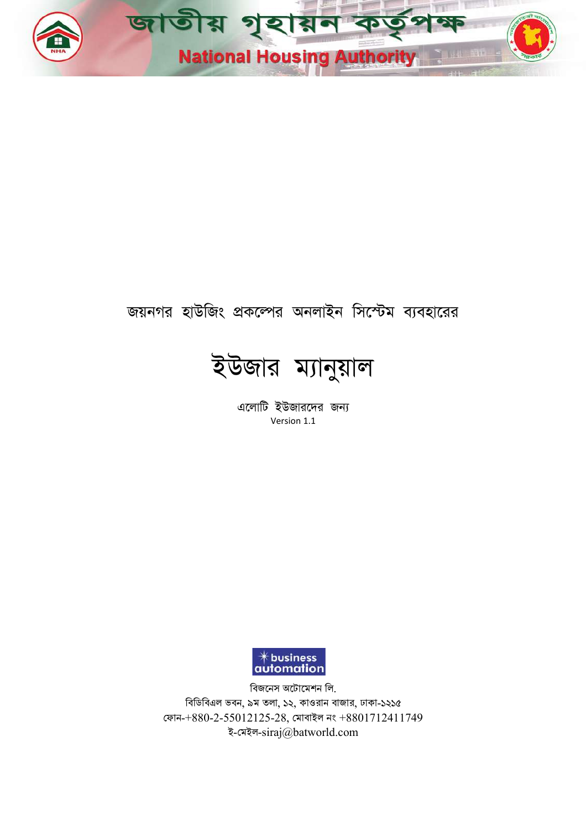

# জয়নগর হাউজিং প্রকল্পের অনলাইন সিস্টেম ব্যবহারের



এলোটি ইউজারদের জন্য Version 1.1



বিডিবিএল ভবন, ৯ম তলা, ১২, কাওরান বাজার, ঢাকা-১২১৫ ফোন- $+880$ - $2$ - $55012125$ - $28,$  মোবাইল নং  $+8801712411749\,$ বিজনেস অটোমেশন লি. ই-মেইল-siraj@batworld.com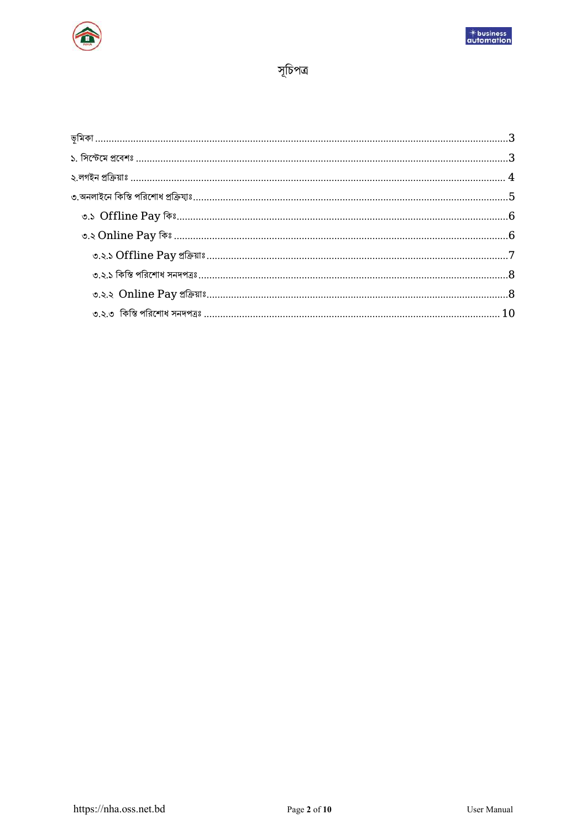



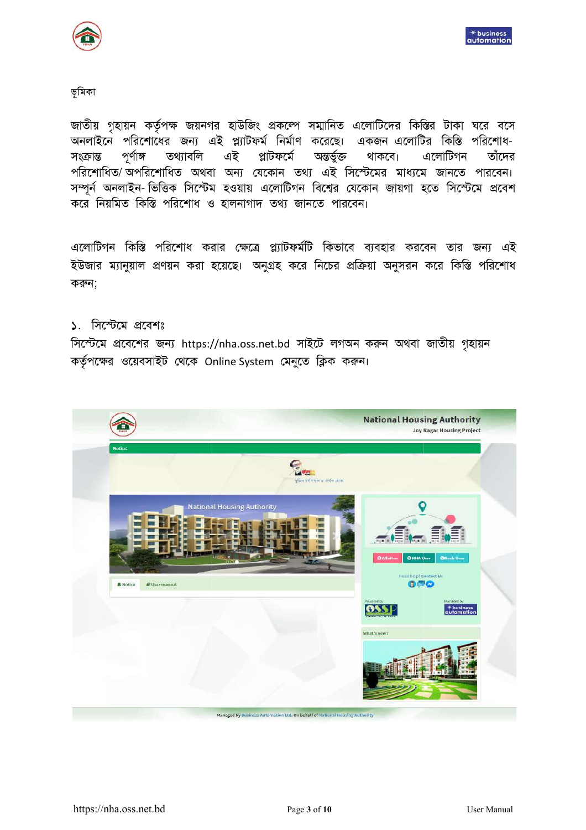



#### ভূমিকা

জাতীয় গৃহায়ন কর্তৃপক্ষ জয়নগর হাউজিং প্রকল্পে সম্মানিত এলোটিদের কিস্তির টাকা ঘরে বসে অনলাইনে পরিশোধের জন্য এই প্ল্যাটফর্ম নির্মাণ করেছে। একজন এলোটির কিস্তি পরিশোধ-পর্ণাঙ্গ তথ্যাবলি এই প্লাটফর্মে অন্তৰ্ভুক্ত থাকবে। এলোটিগন তাঁদের সংক্ৰান্ত পরিশোধিত/ অপরিশোধিত অথবা অন্য যেকোন তথ্য এই সিস্টেমের মাধ্যমে জানতে পারবেন। সম্পূর্ন অনলাইন- ভিত্তিক সিস্টেম হওয়ায় এলোটিগন বিশ্বের যেকোন জায়গা হতে সিস্টেমে প্রবেশ করে নিয়মিত কিস্তি পরিশোধ ও হালনাগাদ তথ্য জানতে পারবেন।

এলোটিগন কিস্তি পরিশোধ করার ক্ষেত্রে প্ল্যাটফর্মটি কিভাবে ব্যবহার করবেন তার জন্য এই ইউজার ম্যানুয়াল প্রণয়ন করা হয়েছে। অনুগ্রহ করে নিচের প্রক্রিয়া অনুসরন করে কিস্তি পরিশোধ করুন:

#### ১. সিস্টেমে প্রবেশঃ

সিস্টেমে প্রবেশের জন্য https://nha.oss.net.bd সাইটে লগঅন করুন অথবা জাতীয় গৃহায়ন কর্তৃপক্ষের ওয়েবসাইট থেকে Online System মেনুতে ক্লিক করুন।

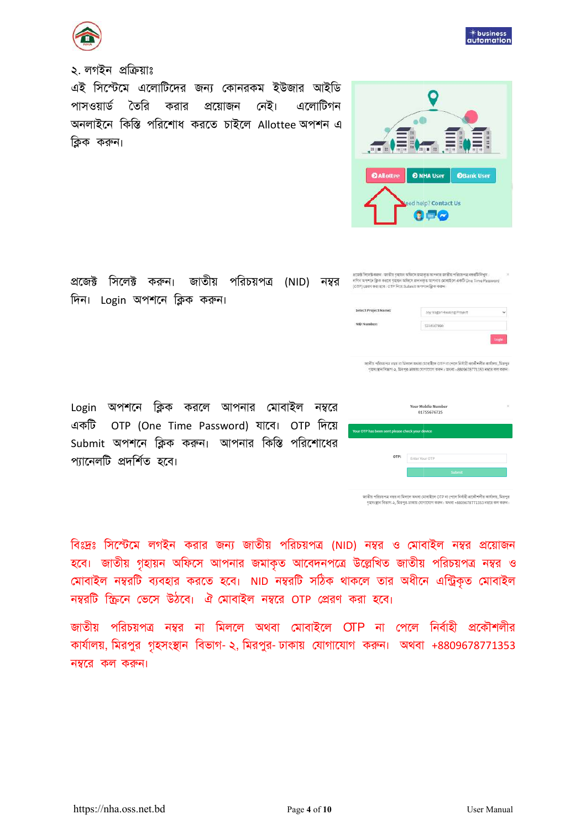

### ২. লগইন প্ৰক্ৰিয়াঃ

এই সিস্টেমে এলোটিদের জন্য কোনরকম ইউজার আইডি পাসওয়ার্ড তৈরি করার প্রয়োজন নেই। এলোটিগন অনলাইনে কিস্তি পরিশোধ করতে চাইলে Allottee অপশন এ ক্রিক করুন।

 $\textbf{20078} \quad \overbrace{\textbf{00078}}^{ \textbf{20078} \quad \textbf{10078}} \quad \textbf{0008} \quad \textbf{1009} \quad \textbf{1019} \quad \textbf{1019} \quad \textbf{1019} \quad \textbf{1019} \quad \textbf{1019} \quad \textbf{1019} \quad \textbf{1019} \quad \textbf{1019} \quad \textbf{1019} \quad \textbf{1019} \quad \textbf{1019} \quad \textbf{1019} \quad \textbf{1019} \quad \textbf{1$ দিন। Login অপশনে ক্লিক করুন।

Login অপশনে ক্লিক করলে আপনার মোবাইল নম্বরে একটি OTP (One Time Password) যাবে। OTP দিয়ে Submit অপশনে ক্লিক করুন। আপনার কিস্তি পরিশোধের প্যানেলটি প্রদর্শিত হবে।

বিঃদ্রঃ সিস্টেমে লগইন করার জন্য জাতীয় পরিচয়পত্র (NID) নম্বর ও মোবাইল নম্বর প্রয়োজন হবে। জাতীয় গৃহায়ন অফিসে আপনার জমাকৃত আবেদনপত্রে উল্লেখিত জাতীয় পরিচয়পত্র নম্বর ও মোবাইল নম্বরটি ব্যবহার করতে হবে। NID নম্বরটি সঠিক থাকলে তার অধীনে এন্ট্রিকৃত মোবাইল নম্বরটি ক্ষিনে ভেসে উঠবে। ঐ মোবাইল নম্বরে OTP প্রেরণ করা হবে।

জাতীয় পরিচয়পত্র নম্বর না মিললে অথবা মোবাইলে OTP না পেলে নির্বাহী প্রকৌশলীর কার্যালয়, মিরপুর গৃহসংস্থান বিভাগ- ২, মিরপুর- ঢাকায় যোগাযোগ করুন। অথবা +8809678771353 নম্বরে কল করুন।



| lect Project Name:                         | Joy Nagar Housing Project                                                                                                                                                                      |          |
|--------------------------------------------|------------------------------------------------------------------------------------------------------------------------------------------------------------------------------------------------|----------|
| D Number:                                  | 1214567890                                                                                                                                                                                     |          |
|                                            |                                                                                                                                                                                                | Logic    |
|                                            | জাতীয় পরিচয়পত্র নম্বর না মিলগে অঘবা মোবাইলে CTP না পেলে নির্বাহী প্রকৌশলীর ঝার্বালয়, মিরপুর<br>९१६मध्याम जिल्ला २२, प्रिराणुत-जाकाम त्याभारणाभ करून: प्राथमा +8809678771353 मध्युत कम करान: |          |
|                                            | <b>Your Mobile Number</b><br>01755676725                                                                                                                                                       | $\times$ |
| OTP has been sent please check your device |                                                                                                                                                                                                |          |
| OTP:                                       | Enter Your OTP                                                                                                                                                                                 |          |
|                                            | <b>Service</b>                                                                                                                                                                                 |          |

 $\bullet$  in  $\sim$ 

i.

.<br>জাতীয় পরিচয়পত্র নম্বর না মিললে অথবা মোবাইলে OTP না পেলে নির্বাহী প্রকৌশলীর কার্যালয়, মিরপুর ,<br>গহসংস্থান বিভাগ-২, মিরপর-ঢাকায় যোগাযোগ করুন। অথবা +8809678771353 নম্বরে কল ক



 $*$  business<br>automation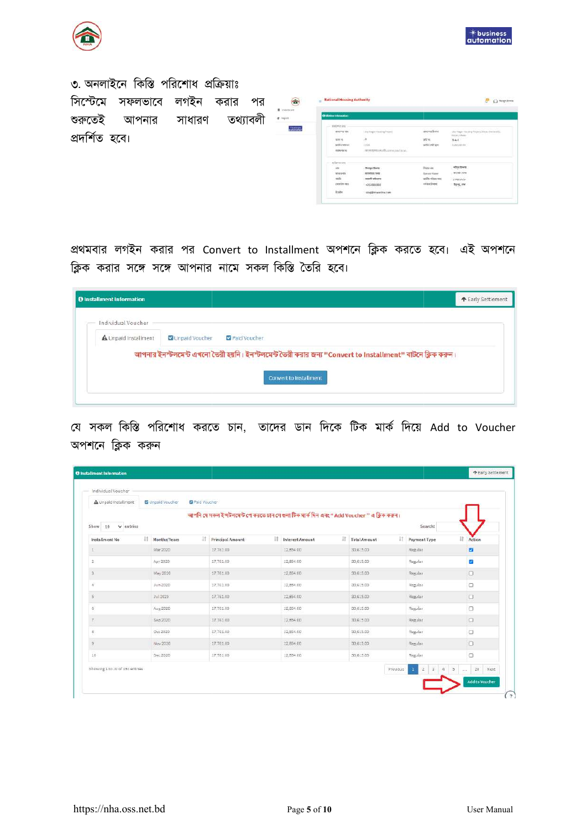



৩. অনলাইনে কিস্তি পরিশোধ প্রক্রিয়াঃ সিস্টেমে সফলভাবে al Housing Authority  $\overline{P}$   $\overline{O}$  seems লগইন করার পর শুরুতেই আপনার সাধারণ তথ্যাবলী প্ৰদৰ্শিত হবে। sepatrices<br>Telefi<br>Automobil

প্রথমবার লগইন করার পর Convert to Installment অপশনে ক্লিক করতে হবে। এই অপশনে ক্লিক করার সঙ্গে সঙ্গে আপনার নামে সকল কিস্তি তৈরি হবে।

| <b>O</b> Installment Information           |                                                                                                          | ← Early Settlement |
|--------------------------------------------|----------------------------------------------------------------------------------------------------------|--------------------|
| Individual Voucher<br>A Unpaid Installment | Unpaid Voucher<br>Paid Voucher                                                                           |                    |
|                                            | আপনার ইনস্টলমেন্ট এখনো তৈরী হয়নি। ইনস্টলমেন্ট তৈরী করার জন্য "Convert to Installment" বাটনে ক্লিক করুন। |                    |
|                                            | Convert to Installment                                                                                   |                    |

যে সকল কিস্তি পরিশোধ করতে চান, তাদের ডান দিকে টিক মার্ক দিয়ে Add to Voucher অপশনে ক্লিক করুন

| A Unpaid Installment           |    | <b>D</b> Unpaid Voucher<br><b>D</b> Paid Voucher |                                                                                            |                       |                    |                                                                           |                |
|--------------------------------|----|--------------------------------------------------|--------------------------------------------------------------------------------------------|-----------------------|--------------------|---------------------------------------------------------------------------|----------------|
| $\vee$ entries<br>$5$ how $10$ |    |                                                  | আপনি যে সকল ইন্দটলমেন্ট পে করতে চান সে গুলা টিক মার্ক দিন এবং " Add Voucher " এ ক্লিক করন। |                       |                    | Search:                                                                   |                |
| Installment No.                | 11 | 11<br>Months/Years                               | $\mathbb{I}$<br>Principal Amount                                                           | 11<br>Interest Amount | 11<br>Total Amount | 11<br>Payment Type                                                        | Action         |
| I                              |    | Mar.2020                                         | 17,761.00                                                                                  | 32,854.00             | 30,615.00          | Regular                                                                   | a              |
| 2                              |    | Apr 2020                                         | 17,761.00                                                                                  | 12,854.00             | 30,615.00          | Regular                                                                   | ø              |
| 3                              |    | May 2020                                         | 17,761.00                                                                                  | 12,854.00             | 30,615.00          | Regular                                                                   | $\Box$         |
| ¥,                             |    | Jun 2020                                         | 17,761.00                                                                                  | 32,854.00             | 30,615.00          | Regular                                                                   | $\Box$         |
| 5                              |    | Jul 2020                                         | 17,761.00                                                                                  | 12,854.00             | 30,615.00          | Regular                                                                   | $\Box$         |
| $6^\circ$                      |    | Aug 2020                                         | 17,761.00                                                                                  | 12,854.00             | 30,615.00          | Regular                                                                   | $\Box$         |
| Y.                             |    | Sep 2020                                         | 17,761.00                                                                                  | 12,854.00             | 30,615.00          | Regular                                                                   | $\Box$         |
| 黒.                             |    | Oct 2020                                         | 17,761.00                                                                                  | 12,854.00             | 30,615.00          | Regular                                                                   | $\Box$         |
| $\,2\,$                        |    | Nov 2020                                         | 17,761.00                                                                                  | 12,854.00             | 30,615.00          | Regular                                                                   | $\Box$         |
| 10                             |    | Dec 2020                                         | 17,761.00                                                                                  | 12,854.00             | 30,615.00          | Regular                                                                   | $\Box$         |
| Showing 1 to 10 of 192 entries |    |                                                  |                                                                                            |                       | Previous           | $\overline{3}$<br>$\overline{5}$<br>ià.<br>$\mathbf{1}$<br>$\overline{2}$ | $2\,0$<br>Next |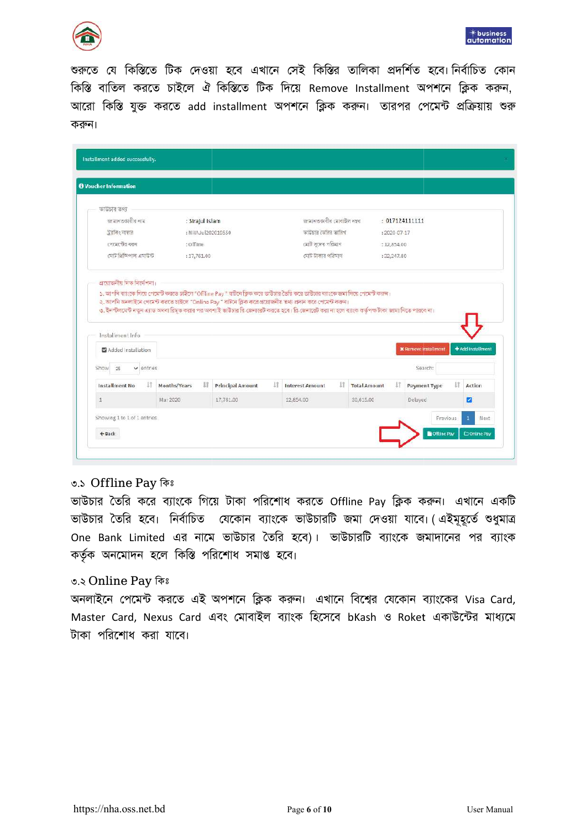



শুরুতে যে কিস্তিতে টিক দেওয়া হবে এখানে সেই কিস্তির তালিকা প্রদর্শিত হবে। নির্বাচিত কোন কিস্তি বাতিল করতে চাইলে ঐ কিস্তিতে টিক দিয়ে Remove Installment অপশনে ক্লিক করুন, আরো কিস্তি যুক্ত করতে add installment অপশনে ক্লিক করুন। তারপর পেমেন্ট প্রক্রিয়ায় শুরু করুন।

| <b>A</b> Voucher Information                                                                                                                                                                                                                                                                                                                                                                                                                      |                    |                         |    |                              |                     |                    |                             |    |                   |
|---------------------------------------------------------------------------------------------------------------------------------------------------------------------------------------------------------------------------------------------------------------------------------------------------------------------------------------------------------------------------------------------------------------------------------------------------|--------------------|-------------------------|----|------------------------------|---------------------|--------------------|-----------------------------|----|-------------------|
| ভাউচার তথ্য                                                                                                                                                                                                                                                                                                                                                                                                                                       |                    |                         |    |                              |                     |                    |                             |    |                   |
| জামানতকারীর নাম                                                                                                                                                                                                                                                                                                                                                                                                                                   | : Sirajul Islam    |                         |    | জামানতকাৰীৰ মোৰাইল নম্বৰ     |                     | : 017124111111     |                             |    |                   |
| ট্র্যাকিং নাম্বর                                                                                                                                                                                                                                                                                                                                                                                                                                  | : NHAJul202019550  |                         |    | ভাউচার তেরির তারিখ           |                     | $: 2020 - 07 - 17$ |                             |    |                   |
| পেমেণ্টের ধরন                                                                                                                                                                                                                                                                                                                                                                                                                                     | : Offline          |                         |    | মোট সুদের পরিমাণ             |                     | : 12,854.00        |                             |    |                   |
| মেট প্ৰিন্সিপাল এমাউন্ট                                                                                                                                                                                                                                                                                                                                                                                                                           | :17,761.00         |                         |    | মোট টাকার পরিমাণ             |                     | :32,247.80         |                             |    |                   |
| প্ৰয়োজনীয় দিক নিৰ্দেশনা।<br>১. আপনি ব্যাংকে গিয়ে পেমেণ্ট করতে চাইলে "Offline Pay " বাটনে ক্লিক করে ভাউচার তৈরি করে ভাউচার ব্যাংকে জমা দিয়ে পেমেণ্ট করল।<br>২. আপনি অনলাইনে পেমেণ্ট করতে চাইলে "Online Pay" বাটনে ক্লিক করে প্রয়োজনীয় তথ্য প্রদান করে পেমেণ্ট করন্দা।<br>৩. ইনস্টলমেন্ট নতুন এ্যাড অথবা রিমুভ করার পর অবশ্যই ভাউচার রি জেনারেট করতে হবে। রি জেনারেট করা না হলে ব্যাংক কর্তৃপক্ষ টাকা জামা নিডে পারবে না।<br>Installment Info |                    |                         |    |                              |                     |                    |                             |    |                   |
| Added Installation                                                                                                                                                                                                                                                                                                                                                                                                                                |                    |                         |    |                              |                     |                    | <b>X</b> Remove Installment |    | + Add Installment |
| $\vee$ entries<br>25                                                                                                                                                                                                                                                                                                                                                                                                                              |                    |                         |    |                              |                     |                    | Search:                     |    |                   |
| Show<br>17<br>Installment No.                                                                                                                                                                                                                                                                                                                                                                                                                     | 11<br>Months/Years | <b>Principal Amount</b> | 11 | 11<br><b>Interest Amount</b> | <b>Total Amount</b> | IT.                | Payment Type                | 11 | Action            |
| $\overline{1}$                                                                                                                                                                                                                                                                                                                                                                                                                                    | Mar 2020           | 17,761.00               |    | 12,854.00                    | 30,615.00           |                    | Delayed                     |    | ø                 |

#### ৩.১ Offline Pay কিঃ

ভাউচার তৈরি করে ব্যাংকে গিয়ে টাকা পরিশোধ করতে Offline Pay ক্লিক করুন। এখানে একটি ভাউচার তৈরি হবে। নির্বাচিত যেকোন ব্যাংকে ভাউচারটি জমা দেওয়া যাবে। (এইমূহূর্তে শুধুমাত্র One Bank Limited এর নামে ভাউচার তৈরি হবে)। ভাউচারটি ব্যাংকে জমাদানের পর ব্যাংক কৰ্তৃক অনমোদন হলে কিস্তি পরিশোধ সমাপ্ত হবে।

#### ৩.২ Online Pay কিঃ

অনলাইনে পেমেন্ট করতে এই অপশনে ক্লিক করুন। এখানে বিশ্বের যেকোন ব্যাংকের Visa Card, Master Card, Nexus Card এবং মোবাইল ব্যাংক হিসেবে bKash ও Roket একাউন্টের মাধ্যমে টাকা পরিশোধ করা যাবে।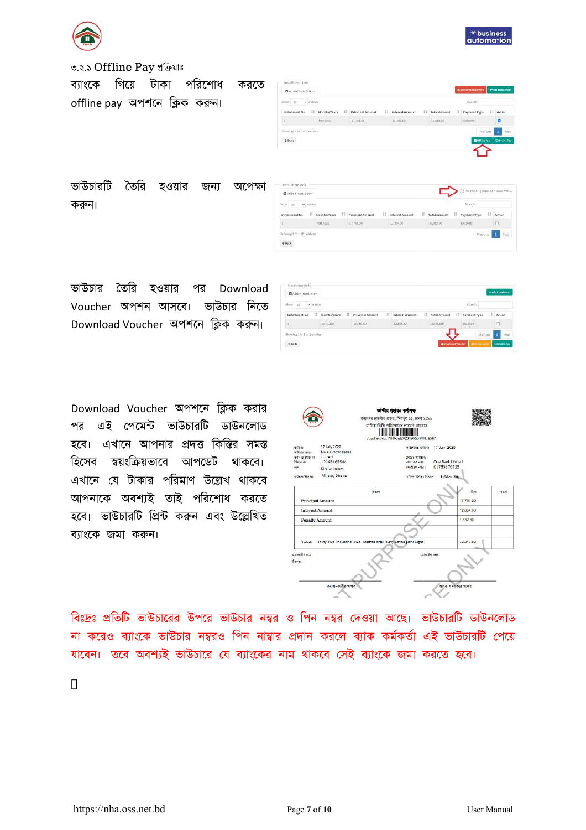



৩.২.১ Offline Pay প্রক্রিয়াঃ

ব্যাংকে গিয়ে টাকা পরিশোধ করতে offline pay অপশনে ক্লিক করুন।

| $Show$ $15 - 4$ antines |       |              |    |                  |    |                 |   |              | sainty       |      |        |
|-------------------------|-------|--------------|----|------------------|----|-----------------|---|--------------|--------------|------|--------|
| histallment No.         | $-11$ | Months/Years | 31 | Principal Amount | 1t | Interest Amount | n | Total Amount | Payment Type | - 11 | Action |
|                         |       | Mar 2020     |    | 17,751.00        |    | 12,854.00       |   | wath.co      | Delayett     |      |        |

ভাউচারটি তৈরি হওয়ার জন্য অপেক্ষা করুন।

| Show<br>$\times$ untiles.<br>.25 |                       |                        |                        |                   | Search:           |        |
|----------------------------------|-----------------------|------------------------|------------------------|-------------------|-------------------|--------|
| 11<br>Installment No             | $-11$<br>Months/Yuars | 11<br>Principal Amount | 11<br>Interest Aroount | Ħ<br>Total Amount | П<br>Payment Type | Action |
|                                  | Mar 2020              | 37,783.00              | 12,854.00              | at/utato          | Délayest          | о      |

ভাউচার তৈরি হওয়ার পর Download Voucher অপশন আসবে। ভাউচার নিতে Download Voucher অপশনে ক্লিক করুন।

| Added Installation<br>조건사람 사람들의 시계 사용 사람                        |                 |                     |   |                        |   |                              |                                         |   | +Até insalment |
|-----------------------------------------------------------------|-----------------|---------------------|---|------------------------|---|------------------------------|-----------------------------------------|---|----------------|
| Show 35<br>w antries                                            |                 |                     |   |                        |   |                              | SAMETA                                  |   |                |
| Installment No.<br>п                                            | Months/Years II | Principal Amount    | ш | <b>Interest Amount</b> | п | <b>Total Amount</b><br>$\pi$ | Payment Type                            | 山 | Action         |
|                                                                 | Mar 2020        | 17,761.00<br>,,,,,, |   | 12,854.00              |   | 30,615.01<br><b>HILLY</b>    | Dataway<br><b>The Company's Company</b> |   | D.             |
| the field of the field and share<br>Showing 1 to 1 of 1 entries |                 |                     |   |                        |   |                              | Previous                                |   | hizid<br>٠     |

Download Voucher অপশনে ক্লিক করার পর এই পেমেন্ট ভাউচারটি ডাউনলোড হবে। এখানে আপনার প্রদত্ত কিস্তির সমস্ত হিসেব স্বয়ংক্রিয়ভাবে আপডেট থাকবে। এখানে যে টাকার পরিমাণ উল্লেখ থাকবে আপনাকে অবশ্যই তাই পরিশোধ করতে হবে। ভাউচারটি প্রিন্ট করুন এবং উল্লেখিত ব্যাংকে জমা করুন।

|                                                                                |                                                                                                    | মাসিক কিন্তি পরিশোদের পেমেন্ট ভাউচার<br>Voucher No.: NHAJu(202019550 PIN: 9597)                                                               |
|--------------------------------------------------------------------------------|----------------------------------------------------------------------------------------------------|-----------------------------------------------------------------------------------------------------------------------------------------------|
| शक्ति<br>eritora ava:<br>क्लम ७ इसके मर<br>बिजार संद<br>初開)<br>राईसान जिंकामा: | 17 july 2020<br>NHA Jul202019550<br>$1.1 - A - 1$<br>12365465544<br>Sirejul Islam<br>Mirpur, Dhaka | eriteme erfen: 17 July, 2020<br>काठित बाहरूम:<br>One Bank Limited<br>शास्त्र नम:<br>01755676725<br>टभान्दांडेल नगर।<br>प्राणिक किपिस विश्वस्थ |
|                                                                                |                                                                                                    | 1 Mar 20                                                                                                                                      |
|                                                                                | বিবরণ                                                                                              | प्राका<br>97071                                                                                                                               |
| Principal Amount                                                               |                                                                                                    | 17.761.00                                                                                                                                     |
| Interest Amount                                                                |                                                                                                    | 12,854.00                                                                                                                                     |
| Penalty Amount                                                                 |                                                                                                    | 1.632.80                                                                                                                                      |
|                                                                                | Total: Thirty Two Thousand, Two Hundred and Fourty Seven point Eight                               | 32.247.80                                                                                                                                     |
| क्रमा का से सामा<br>family:                                                    |                                                                                                    | इसलाहिल भगवा                                                                                                                                  |

বিঃদ্রঃ প্রতিটি ভাউচারের উপরে ভাউচার নম্বর ও পিন নম্বর দেওয়া আছে। ভাউচারটি ডাউনলোড না করেও ব্যাংকে ভাউচার নম্বরও পিন নাম্বার প্রদান করলে ব্যাক কর্মকর্তা এই ভাউচারটি পেয়ে যাবেন। তবে অবশ্যই ভাউচারে যে ব্যাংকের নাম থাকবে সেই ব্যাংকে জমা করতে হবে।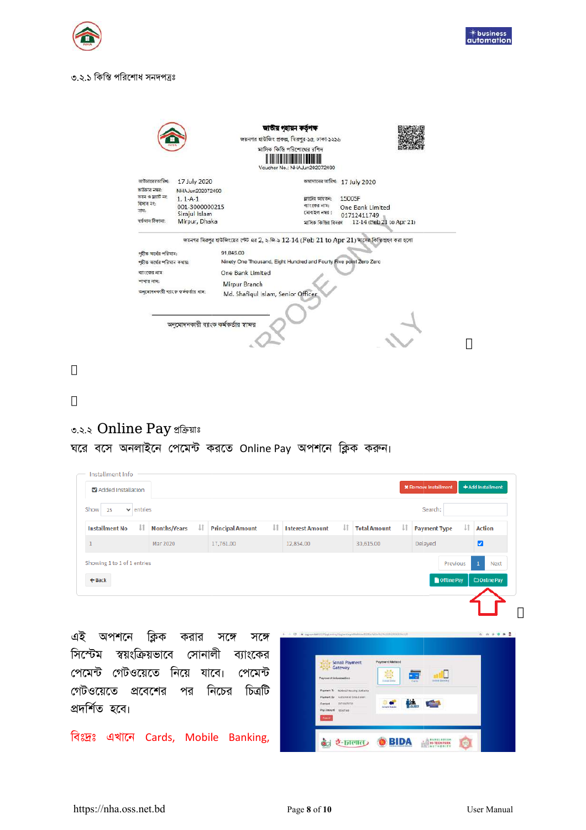



#### ৩.২.১ কিস্তি পরিশোধ সনদপত্রঃ

|                                                     |                                                  |                                                                                                                       | জাতীয় গৃহায়ন কৰ্তৃপক্ষ<br>জয়নগর হাউজিং প্রকল্প, মিরপুর-১৫, ঢাকা-১২১৬<br>মাসিক কিন্তি পরিশোধের রশিদ<br>Voucher No.: NHAJun202072490 |                                           |  |
|-----------------------------------------------------|--------------------------------------------------|-----------------------------------------------------------------------------------------------------------------------|---------------------------------------------------------------------------------------------------------------------------------------|-------------------------------------------|--|
| ভাউচারেরতারিখ:<br>ভাউচার নম্বর:                     | 17 July 2020<br>NHA.Jun202072490                 |                                                                                                                       |                                                                                                                                       | জমাদানের অরিখ: 17 July 2020               |  |
| তবন ও ফ্রাট নং<br>হিসাব নং:<br>নাম:                 | $1.1 - A - 1$<br>001-3000000215<br>Sirajul Islam |                                                                                                                       | ফ্রাটের আয়তন:<br>ৰাংকের নাম:<br>মোবাইল নম্বর :                                                                                       | 1500SF<br>One Bank Limited<br>01712411749 |  |
| বৰ্তমান ঠিকানা:                                     | Mirpur, Dhaka                                    |                                                                                                                       | মাসিক কিস্তির বিবরণ                                                                                                                   | 12-14 (Feb 21 to Apr 21)                  |  |
| গহীত অৰ্থের পরিমান:                                 |                                                  | জয়নগর মিরপুর হাউজিংয়ের পেট এর 2, ২-জি-৯ $12$ - $14$ (Feb $21$ to Apr $21$ ) মাসের কিস্তি গ্রহণ করা হলো<br>91.845.00 |                                                                                                                                       |                                           |  |
| ণহীত অৰ্থের পরিমান কথায়:<br>বাংকের নাম<br>শখর নাম: |                                                  | Ninety One Thousand, Eight Hundred and Fourty Five point Zero Zero<br>One Bank Limited                                |                                                                                                                                       |                                           |  |
|                                                     | অনুমোদনকারী ব্যাংক কর্মকর্তার নাম:               | Mirpur Branch<br>Md. Shafiqul Islam, Senior Officer                                                                   |                                                                                                                                       |                                           |  |
|                                                     |                                                  | অনমোদনকারী ব্যাংক কর্মকর্তার স্বা <del>ফ</del> র                                                                      |                                                                                                                                       |                                           |  |

## **0.२.२ Online Pay थक्तिशा**8

ঘরে বসে অনলাইনে পেমেন্ট করতে Online Pay অপশনে ক্লিক করুন।

| $\vee$ entries            |    |           |                         |                        |    |                     |    | Search:             |    |               |
|---------------------------|----|-----------|-------------------------|------------------------|----|---------------------|----|---------------------|----|---------------|
| J1<br><b>Months/Years</b> | IJ |           | IJ,                     | <b>Interest Amount</b> | Jî | <b>Total Amount</b> | Jî | <b>Payment Type</b> | IJ | <b>Action</b> |
| Mar 2020                  |    | 17,761.00 |                         | 12,854.00              |    | 30,615.00           |    | Delayed             |    | ø             |
|                           |    |           | <b>Principal Amount</b> |                        |    |                     |    |                     |    |               |

এই অপশনে ক্লিক করার সঙ্গে সঙ্গে সিস্টেম স্বয়ংক্রিয়ভাবে সোনালী ব্যাংকের পেমেন্ট গেটওয়েতে নিয়ে যাবে। পেমেন্ট গেটওয়েতে প্রবেশের পর নিচের চিত্রটি প্রদর্শিত হবে।

বিঃদ্রঃ এখানে Cards, Mobile Banking,

| Sonali Payment<br>Gateway                                                  | <b>Payment Method</b><br>嬉                                                   |  |
|----------------------------------------------------------------------------|------------------------------------------------------------------------------|--|
| Payment Information                                                        | Mobia literatur<br><b>Stander Stane</b><br>Cable<br><b>THE REAL PROPERTY</b> |  |
| Payment To National Heading Authority<br>Versmittel SmyJatem<br>Payment Dr |                                                                              |  |
| <b>Attroductor</b><br>Gerried:<br>Pay Amount                               | <b>MA</b><br><b>Contract of the Second</b><br><b>Integra Sander</b>          |  |
| 32247.83<br><b>County</b>                                                  |                                                                              |  |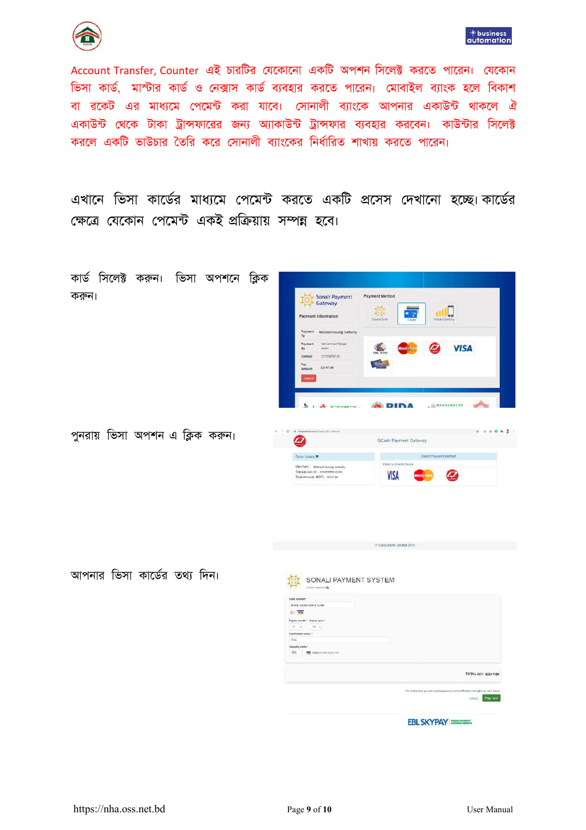



Account Transfer, Counter এই চারটির যেকোনো একটি অপশন সিলেক্ট করতে পারেন। যেকোন ভিসা কার্ড, মাস্টার কার্ড ও নেক্সাস কার্ড ব্যবহার করতে পারেন। মোবাইল ব্যাংক হলে বিকাশ বা রকেট এর মাধ্যমে পেমেন্ট করা যাবে। সোনালী ব্যাংকে আপনার একাউন্ট থাকলে ঐ একাউন্ট থেকে টাকা ট্রান্সফারের জন্য অ্যাকাউন্ট ট্রান্সফার ব্যবহার করবেন। কাউন্টার সিলেক্ট করলে একটি ভাউচার তৈরি করে সোনালী ব্যাংকের নির্ধারিত শাখায় করতে পারেন।

এখানে ভিসা কার্ডের মাধ্যমে পেমেন্ট করতে একটি প্রসেস দেখানো হচ্ছে।কার্ডের ক্ষেত্রে যেকোন পেমেন্ট একই প্রক্রিয়ায় সম্পন্ন হবে।

| কার্ড সিলেক্ট করুন। ভিসা অপশনে<br>ক্লিক |                                                                                                                                                                                                                                                      |                                                                                                                                                                |
|-----------------------------------------|------------------------------------------------------------------------------------------------------------------------------------------------------------------------------------------------------------------------------------------------------|----------------------------------------------------------------------------------------------------------------------------------------------------------------|
| করুন।                                   | Sonali Payment<br>Payment Information<br>Payment National Housing Authority<br>70<br>Payment<br>Istohermed Sirajul<br>try.<br>Jozam<br>01755876725<br>Contact<br>Pay<br>32247.80<br>Ampurt<br><b>Tancel</b><br>$\lambda$ $\tau$ $\tau$<br>$\ddot{z}$ | Payment Method<br>粵<br>2. 2<br>Street Dirth<br>Motille Thereony<br>$\mathbf{C}$<br><b>VISA</b><br>Ø<br><b>MasterCard</b><br>كالمتبا<br>- IN BANGLADESH<br>DINA |
| পুনরায় ভিসা অপশন এ ক্লিক করুন।         | + 0 C # Request con Control Home<br>Ø<br>Older Digisis 带<br>Merchant: Noissal Hausing Jathority<br>Transaction ID: #Max54900241201<br>Total Amount (BDT) ; 33247.60                                                                                  | 0.0012<br>QCash Payment Gateway<br>Seinct Payment Method<br>Cobit or Credit Cards<br><b>VISA</b><br>$\boldsymbol{\sigma}$                                      |
|                                         |                                                                                                                                                                                                                                                      | IT Consultants Limited 2019                                                                                                                                    |
| আপনার ভিসা কার্ডের তথ্য দিন।            | SONALI PAYMENT SYSTEM<br>Serani parment &<br>Cost number<br>4341-1020-0041-5241<br>VEM<br>Ripiny storth * Ripley year *<br>$11 - w$ $28 - w$<br>Cardinater name **<br>$800$<br>Security code                                                         |                                                                                                                                                                |

TOTAL BDT 32247.80

EBL SKYPAY

Payne